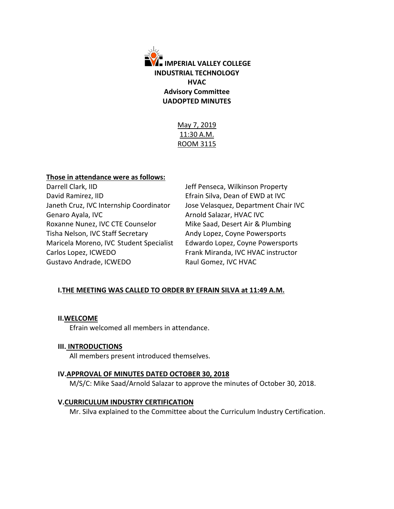

May 7, 2019 11:30 A.M. ROOM 3115

## **Those in attendance were as follows:**

Darrell Clark, IID **Darrell Clark**, IID **Jeff Penseca, Wilkinson Property** David Ramirez, IID **Efrain Silva, Dean of EWD at IVC** Janeth Cruz, IVC Internship Coordinator Jose Velasquez, Department Chair IVC Genaro Ayala, IVC **Arnold Salazar, HVAC IVC** Roxanne Nunez, IVC CTE Counselor Mike Saad, Desert Air & Plumbing Tisha Nelson, IVC Staff Secretary **Andy Lopez, Coyne Powersports** Maricela Moreno, IVC Student Specialist Edwardo Lopez, Coyne Powersports Carlos Lopez, ICWEDO Frank Miranda, IVC HVAC instructor Gustavo Andrade, ICWEDO Raul Gomez, IVC HVAC

# **I.THE MEETING WAS CALLED TO ORDER BY EFRAIN SILVA at 11:49 A.M.**

### **II.WELCOME**

Efrain welcomed all members in attendance.

### **III. INTRODUCTIONS**

All members present introduced themselves.

### **IV.APPROVAL OF MINUTES DATED OCTOBER 30, 2018**

M/S/C: Mike Saad/Arnold Salazar to approve the minutes of October 30, 2018.

# **V.CURRICULUM INDUSTRY CERTIFICATION**

Mr. Silva explained to the Committee about the Curriculum Industry Certification.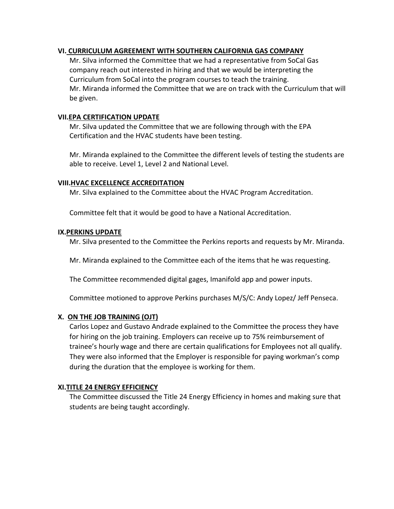# **VI. CURRICULUM AGREEMENT WITH SOUTHERN CALIFORNIA GAS COMPANY**

Mr. Silva informed the Committee that we had a representative from SoCal Gas company reach out interested in hiring and that we would be interpreting the Curriculum from SoCal into the program courses to teach the training. Mr. Miranda informed the Committee that we are on track with the Curriculum that will be given.

# **VII.EPA CERTIFICATION UPDATE**

Mr. Silva updated the Committee that we are following through with the EPA Certification and the HVAC students have been testing.

Mr. Miranda explained to the Committee the different levels of testing the students are able to receive. Level 1, Level 2 and National Level.

# **VIII.HVAC EXCELLENCE ACCREDITATION**

Mr. Silva explained to the Committee about the HVAC Program Accreditation.

Committee felt that it would be good to have a National Accreditation.

# **IX.PERKINS UPDATE**

Mr. Silva presented to the Committee the Perkins reports and requests by Mr. Miranda.

Mr. Miranda explained to the Committee each of the items that he was requesting.

The Committee recommended digital gages, Imanifold app and power inputs.

Committee motioned to approve Perkins purchases M/S/C: Andy Lopez/ Jeff Penseca.

# **X. ON THE JOB TRAINING (OJT)**

Carlos Lopez and Gustavo Andrade explained to the Committee the process they have for hiring on the job training. Employers can receive up to 75% reimbursement of trainee's hourly wage and there are certain qualifications for Employees not all qualify. They were also informed that the Employer is responsible for paying workman's comp during the duration that the employee is working for them.

# **XI.TITLE 24 ENERGY EFFICIENCY**

The Committee discussed the Title 24 Energy Efficiency in homes and making sure that students are being taught accordingly.